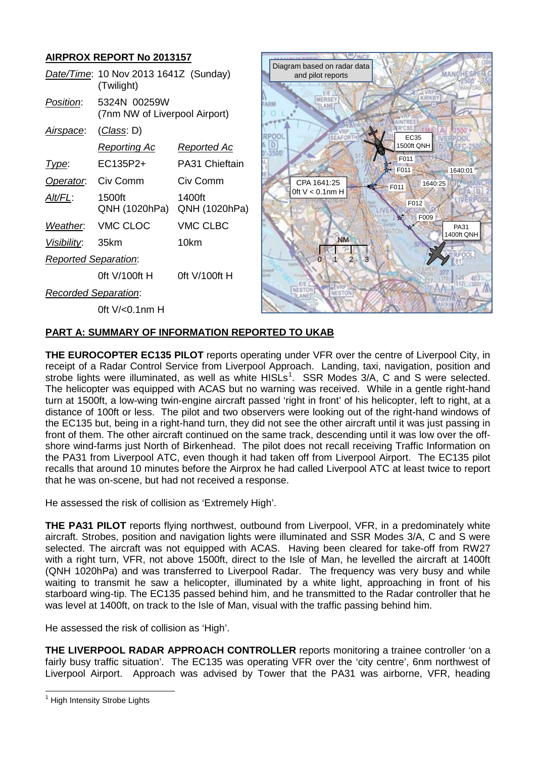# **AIRPROX REPORT No 2013157**

|                             | Date/Time: 10 Nov 2013 1641Z (Sunday)<br>(Twilight) |                         |
|-----------------------------|-----------------------------------------------------|-------------------------|
| Position:                   | 5324N 00259W<br>(7nm NW of Liverpool Airport)       |                         |
| <u>Airspace:</u>            | <u>(Class</u> : D)                                  |                         |
|                             | Reporting Ac                                        | Reported Ac             |
| Type:                       | EC135P2+                                            | PA31 Chieftain          |
| Operator.                   | Civ Comm                                            | Civ Comm                |
| Alt/FL:                     | 1500ft<br>QNH (1020hPa)                             | 1400ft<br>QNH (1020hPa) |
| Weather.                    | VMC CLOC                                            | <b>VMC CLBC</b>         |
| Visibility:                 | 35km                                                | 10km                    |
| <b>Reported Separation:</b> |                                                     |                         |
|                             | 0ft V/100ft H                                       | 0ft V/100ft H           |
| Recorded Separation:        |                                                     |                         |
|                             | 0ft V/<0.1nm H                                      |                         |



## **PART A: SUMMARY OF INFORMATION REPORTED TO UKAB**

**THE EUROCOPTER EC135 PILOT** reports operating under VFR over the centre of Liverpool City, in receipt of a Radar Control Service from Liverpool Approach. Landing, taxi, navigation, position and strobe lights were illuminated, as well as white HISLs<sup>[1](#page-0-0)</sup>. SSR Modes 3/A, C and S were selected. The helicopter was equipped with ACAS but no warning was received. While in a gentle right-hand turn at 1500ft, a low-wing twin-engine aircraft passed 'right in front' of his helicopter, left to right, at a distance of 100ft or less. The pilot and two observers were looking out of the right-hand windows of the EC135 but, being in a right-hand turn, they did not see the other aircraft until it was just passing in front of them. The other aircraft continued on the same track, descending until it was low over the offshore wind-farms just North of Birkenhead. The pilot does not recall receiving Traffic Information on the PA31 from Liverpool ATC, even though it had taken off from Liverpool Airport. The EC135 pilot recalls that around 10 minutes before the Airprox he had called Liverpool ATC at least twice to report that he was on-scene, but had not received a response.

He assessed the risk of collision as 'Extremely High'.

**THE PA31 PILOT** reports flying northwest, outbound from Liverpool, VFR, in a predominately white aircraft. Strobes, position and navigation lights were illuminated and SSR Modes 3/A, C and S were selected. The aircraft was not equipped with ACAS. Having been cleared for take-off from RW27 with a right turn, VFR, not above 1500ft, direct to the Isle of Man, he levelled the aircraft at 1400ft (QNH 1020hPa) and was transferred to Liverpool Radar. The frequency was very busy and while waiting to transmit he saw a helicopter, illuminated by a white light, approaching in front of his starboard wing-tip. The EC135 passed behind him, and he transmitted to the Radar controller that he was level at 1400ft, on track to the Isle of Man, visual with the traffic passing behind him.

He assessed the risk of collision as 'High'.

**THE LIVERPOOL RADAR APPROACH CONTROLLER** reports monitoring a trainee controller 'on a fairly busy traffic situation'. The EC135 was operating VFR over the 'city centre', 6nm northwest of Liverpool Airport. Approach was advised by Tower that the PA31 was airborne, VFR, heading

<span id="page-0-0"></span><sup>&</sup>lt;sup>1</sup> High Intensity Strobe Lights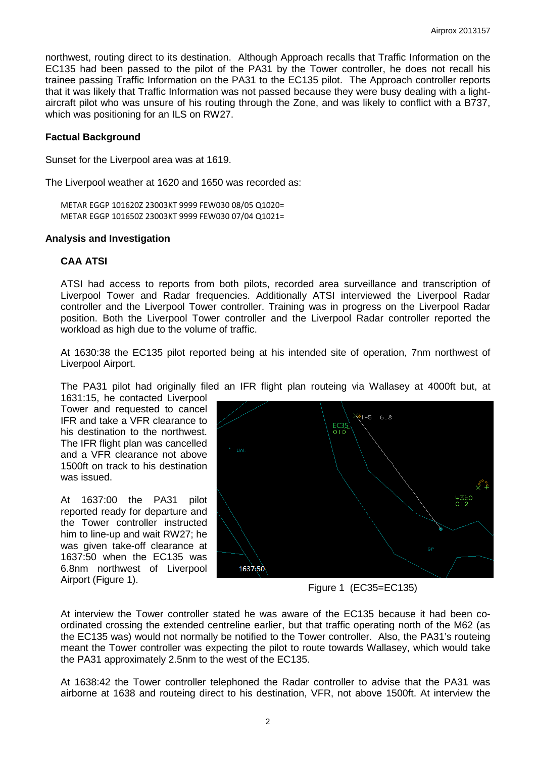northwest, routing direct to its destination. Although Approach recalls that Traffic Information on the EC135 had been passed to the pilot of the PA31 by the Tower controller, he does not recall his trainee passing Traffic Information on the PA31 to the EC135 pilot. The Approach controller reports that it was likely that Traffic Information was not passed because they were busy dealing with a lightaircraft pilot who was unsure of his routing through the Zone, and was likely to conflict with a B737, which was positioning for an ILS on RW27.

### **Factual Background**

Sunset for the Liverpool area was at 1619.

The Liverpool weather at 1620 and 1650 was recorded as:

METAR EGGP 101620Z 23003KT 9999 FEW030 08/05 Q1020= METAR EGGP 101650Z 23003KT 9999 FEW030 07/04 Q1021=

#### **Analysis and Investigation**

### **CAA ATSI**

ATSI had access to reports from both pilots, recorded area surveillance and transcription of Liverpool Tower and Radar frequencies. Additionally ATSI interviewed the Liverpool Radar controller and the Liverpool Tower controller. Training was in progress on the Liverpool Radar position. Both the Liverpool Tower controller and the Liverpool Radar controller reported the workload as high due to the volume of traffic.

At 1630:38 the EC135 pilot reported being at his intended site of operation, 7nm northwest of Liverpool Airport.

The PA31 pilot had originally filed an IFR flight plan routeing via Wallasey at 4000ft but, at

1631:15, he contacted Liverpool Tower and requested to cancel IFR and take a VFR clearance to his destination to the northwest. The IFR flight plan was cancelled and a VFR clearance not above 1500ft on track to his destination was issued.

At 1637:00 the PA31 pilot reported ready for departure and the Tower controller instructed him to line-up and wait RW27; he was given take-off clearance at 1637:50 when the EC135 was 6.8nm northwest of Liverpool Airport (Figure 1).



Figure 1 (EC35=EC135)

At interview the Tower controller stated he was aware of the EC135 because it had been coordinated crossing the extended centreline earlier, but that traffic operating north of the M62 (as the EC135 was) would not normally be notified to the Tower controller. Also, the PA31's routeing meant the Tower controller was expecting the pilot to route towards Wallasey, which would take the PA31 approximately 2.5nm to the west of the EC135.

At 1638:42 the Tower controller telephoned the Radar controller to advise that the PA31 was airborne at 1638 and routeing direct to his destination, VFR, not above 1500ft. At interview the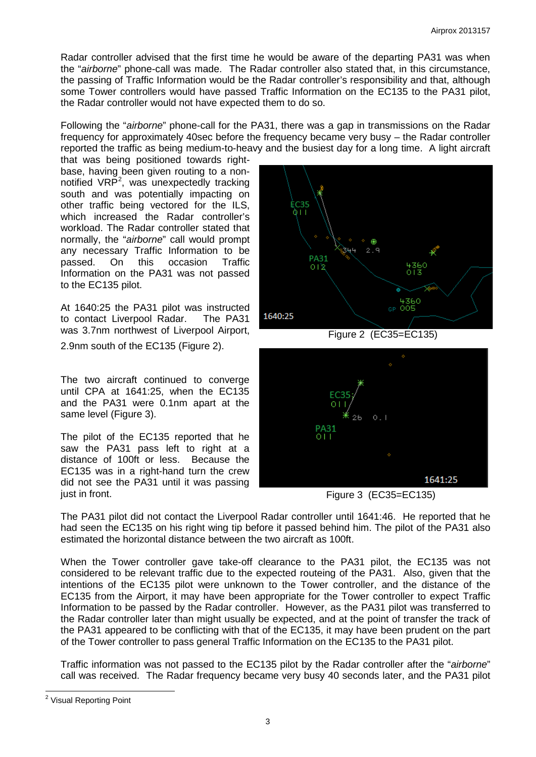Radar controller advised that the first time he would be aware of the departing PA31 was when the "*airborne*" phone-call was made. The Radar controller also stated that, in this circumstance, the passing of Traffic Information would be the Radar controller's responsibility and that, although some Tower controllers would have passed Traffic Information on the EC135 to the PA31 pilot, the Radar controller would not have expected them to do so.

Following the "*airborne*" phone-call for the PA31, there was a gap in transmissions on the Radar frequency for approximately 40sec before the frequency became very busy – the Radar controller reported the traffic as being medium-to-heavy and the busiest day for a long time. A light aircraft

that was being positioned towards rightbase, having been given routing to a non-notified VRP<sup>[2](#page-2-0)</sup>, was unexpectedly tracking south and was potentially impacting on other traffic being vectored for the ILS, which increased the Radar controller's workload. The Radar controller stated that normally, the "*airborne*" call would prompt any necessary Traffic Information to be passed. On this occasion Traffic Information on the PA31 was not passed to the EC135 pilot.

At 1640:25 the PA31 pilot was instructed<br>to contact Liverpool Radar. The PA31 to contact Liverpool Radar. was 3.7nm northwest of Liverpool Airport,

2.9nm south of the EC135 (Figure 2).

The two aircraft continued to converge until CPA at 1641:25, when the EC135 and the PA31 were 0.1nm apart at the same level (Figure 3).

The pilot of the EC135 reported that he saw the PA31 pass left to right at a distance of 100ft or less. Because the EC135 was in a right-hand turn the crew did not see the PA31 until it was passing just in front.



Figure 2 (EC35=EC135)



Figure 3 (EC35=EC135)

The PA31 pilot did not contact the Liverpool Radar controller until 1641:46. He reported that he had seen the EC135 on his right wing tip before it passed behind him. The pilot of the PA31 also estimated the horizontal distance between the two aircraft as 100ft.

When the Tower controller gave take-off clearance to the PA31 pilot, the EC135 was not considered to be relevant traffic due to the expected routeing of the PA31. Also, given that the intentions of the EC135 pilot were unknown to the Tower controller, and the distance of the EC135 from the Airport, it may have been appropriate for the Tower controller to expect Traffic Information to be passed by the Radar controller. However, as the PA31 pilot was transferred to the Radar controller later than might usually be expected, and at the point of transfer the track of the PA31 appeared to be conflicting with that of the EC135, it may have been prudent on the part of the Tower controller to pass general Traffic Information on the EC135 to the PA31 pilot.

Traffic information was not passed to the EC135 pilot by the Radar controller after the "*airborne*" call was received. The Radar frequency became very busy 40 seconds later, and the PA31 pilot

<span id="page-2-0"></span><sup>&</sup>lt;sup>2</sup> Visual Reporting Point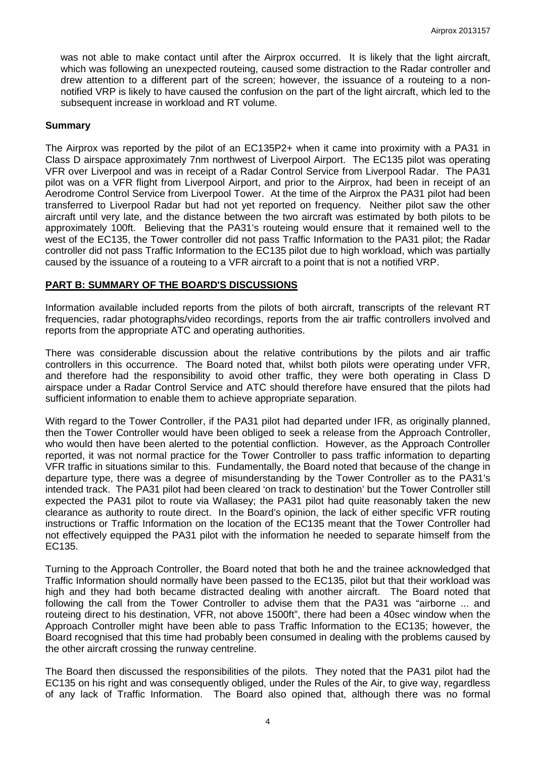was not able to make contact until after the Airprox occurred. It is likely that the light aircraft, which was following an unexpected routeing, caused some distraction to the Radar controller and drew attention to a different part of the screen; however, the issuance of a routeing to a nonnotified VRP is likely to have caused the confusion on the part of the light aircraft, which led to the subsequent increase in workload and RT volume.

#### **Summary**

The Airprox was reported by the pilot of an EC135P2+ when it came into proximity with a PA31 in Class D airspace approximately 7nm northwest of Liverpool Airport. The EC135 pilot was operating VFR over Liverpool and was in receipt of a Radar Control Service from Liverpool Radar. The PA31 pilot was on a VFR flight from Liverpool Airport, and prior to the Airprox, had been in receipt of an Aerodrome Control Service from Liverpool Tower. At the time of the Airprox the PA31 pilot had been transferred to Liverpool Radar but had not yet reported on frequency. Neither pilot saw the other aircraft until very late, and the distance between the two aircraft was estimated by both pilots to be approximately 100ft. Believing that the PA31's routeing would ensure that it remained well to the west of the EC135, the Tower controller did not pass Traffic Information to the PA31 pilot; the Radar controller did not pass Traffic Information to the EC135 pilot due to high workload, which was partially caused by the issuance of a routeing to a VFR aircraft to a point that is not a notified VRP.

#### **PART B: SUMMARY OF THE BOARD'S DISCUSSIONS**

Information available included reports from the pilots of both aircraft, transcripts of the relevant RT frequencies, radar photographs/video recordings, reports from the air traffic controllers involved and reports from the appropriate ATC and operating authorities.

There was considerable discussion about the relative contributions by the pilots and air traffic controllers in this occurrence. The Board noted that, whilst both pilots were operating under VFR, and therefore had the responsibility to avoid other traffic, they were both operating in Class D airspace under a Radar Control Service and ATC should therefore have ensured that the pilots had sufficient information to enable them to achieve appropriate separation.

With regard to the Tower Controller, if the PA31 pilot had departed under IFR, as originally planned, then the Tower Controller would have been obliged to seek a release from the Approach Controller, who would then have been alerted to the potential confliction. However, as the Approach Controller reported, it was not normal practice for the Tower Controller to pass traffic information to departing VFR traffic in situations similar to this. Fundamentally, the Board noted that because of the change in departure type, there was a degree of misunderstanding by the Tower Controller as to the PA31's intended track. The PA31 pilot had been cleared 'on track to destination' but the Tower Controller still expected the PA31 pilot to route via Wallasey; the PA31 pilot had quite reasonably taken the new clearance as authority to route direct. In the Board's opinion, the lack of either specific VFR routing instructions or Traffic Information on the location of the EC135 meant that the Tower Controller had not effectively equipped the PA31 pilot with the information he needed to separate himself from the EC135.

Turning to the Approach Controller, the Board noted that both he and the trainee acknowledged that Traffic Information should normally have been passed to the EC135, pilot but that their workload was high and they had both became distracted dealing with another aircraft. The Board noted that following the call from the Tower Controller to advise them that the PA31 was "airborne ... and routeing direct to his destination, VFR, not above 1500ft", there had been a 40sec window when the Approach Controller might have been able to pass Traffic Information to the EC135; however, the Board recognised that this time had probably been consumed in dealing with the problems caused by the other aircraft crossing the runway centreline.

The Board then discussed the responsibilities of the pilots. They noted that the PA31 pilot had the EC135 on his right and was consequently obliged, under the Rules of the Air, to give way, regardless of any lack of Traffic Information. The Board also opined that, although there was no formal